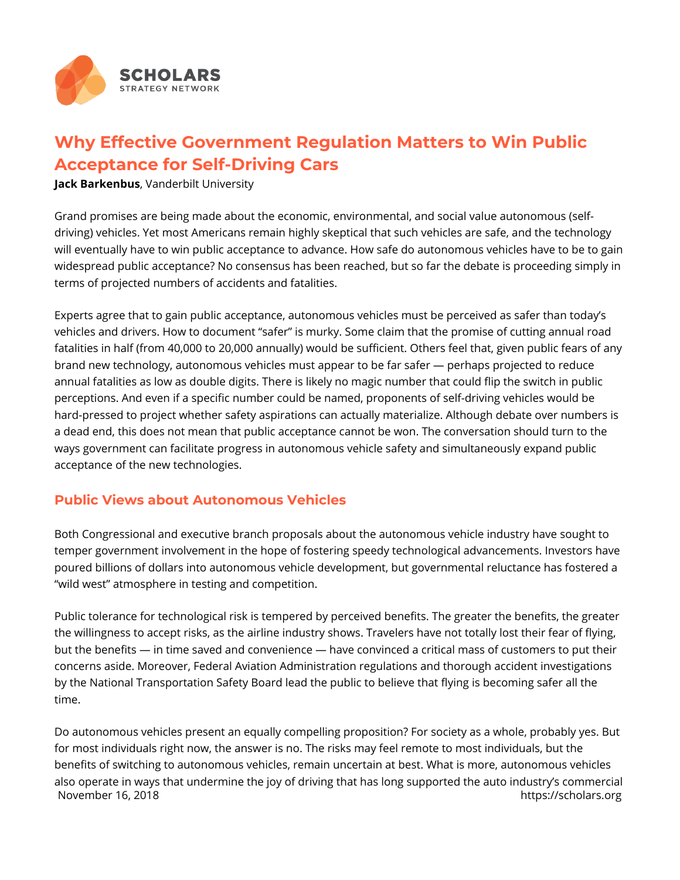

## **Why Effective Government Regulation Matters to Win Public Acceptance for Self-Driving Cars**

**Jack Barkenbus**, Vanderbilt University

Grand promises are being made about the economic, environmental, and social value autonomous (selfdriving) vehicles. Yet most Americans remain highly skeptical that such vehicles are safe, and the technology will eventually have to win public acceptance to advance. How safe do autonomous vehicles have to be to gain widespread public acceptance? No consensus has been reached, but so far the debate is proceeding simply in terms of projected numbers of accidents and fatalities.

Experts agree that to gain public acceptance, autonomous vehicles must be perceived as safer than today's vehicles and drivers. How to document "safer" is murky. Some claim that the promise of cutting annual road fatalities in half (from 40,000 to 20,000 annually) would be sufficient. Others feel that, given public fears of any brand new technology, autonomous vehicles must appear to be far safer — perhaps projected to reduce annual fatalities as low as double digits. There is likely no magic number that could flip the switch in public perceptions. And even if a specific number could be named, proponents of self-driving vehicles would be hard-pressed to project whether safety aspirations can actually materialize. Although debate over numbers is a dead end, this does not mean that public acceptance cannot be won. The conversation should turn to the ways government can facilitate progress in autonomous vehicle safety and simultaneously expand public acceptance of the new technologies.

## **Public Views about Autonomous Vehicles**

Both Congressional and executive branch proposals about the autonomous vehicle industry have sought to temper government involvement in the hope of fostering speedy technological advancements. Investors have poured billions of dollars into autonomous vehicle development, but governmental reluctance has fostered a "wild west" atmosphere in testing and competition.

Public tolerance for technological risk is tempered by perceived benefits. The greater the benefits, the greater the willingness to accept risks, as the airline industry shows. Travelers have not totally lost their fear of flying, but the benefits — in time saved and convenience — have convinced a critical mass of customers to put their concerns aside. Moreover, Federal Aviation Administration regulations and thorough accident investigations by the National Transportation Safety Board lead the public to believe that flying is becoming safer all the time.

Do autonomous vehicles present an equally compelling proposition? For society as a whole, probably yes. But for most individuals right now, the answer is no. The risks may feel remote to most individuals, but the benefits of switching to autonomous vehicles, remain uncertain at best. What is more, autonomous vehicles also operate in ways that undermine the joy of driving that has long supported the auto industry's commercial November 16, 2018 **https://scholars.org**